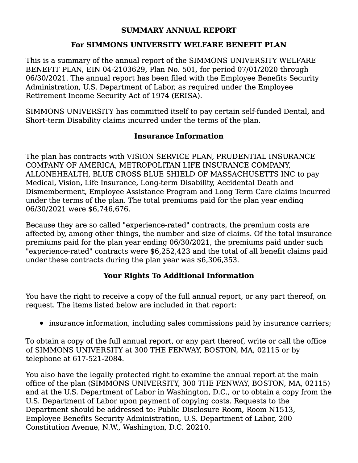### **SUMMARY ANNUAL REPORT**

### **For SIMMONS UNIVERSITY WELFARE BENEFIT PLAN**

This is a summary of the annual report of the SIMMONS UNIVERSITY WELFARE BENEFIT PLAN, EIN 04-2103629, Plan No. 501, for period 07/01/2020 through 06/30/2021. The annual report has been filed with the Employee Benefits Security Administration, U.S. Department of Labor, as required under the Employee Retirement Income Security Act of 1974 (ERISA).

SIMMONS UNIVERSITY has committed itself to pay certain self-funded Dental, and Short-term Disability claims incurred under the terms of the plan.

# **Insurance Information**

The plan has contracts with VISION SERVICE PLAN, PRUDENTIAL INSURANCE COMPANY OF AMERICA, METROPOLITAN LIFE INSURANCE COMPANY, ALLONEHEALTH, BLUE CROSS BLUE SHIELD OF MASSACHUSETTS INC to pay Medical, Vision, Life Insurance, Long-term Disability, Accidental Death and Dismemberment, Employee Assistance Program and Long Term Care claims incurred under the terms of the plan. The total premiums paid for the plan year ending 06/30/2021 were \$6,746,676.

Because they are so called "experience-rated" contracts, the premium costs are affected by, among other things, the number and size of claims. Of the total insurance premiums paid for the plan year ending 06/30/2021, the premiums paid under such "experience-rated" contracts were \$6,252,423 and the total of all benefit claims paid under these contracts during the plan year was \$6,306,353.

# **Your Rights To Additional Information**

You have the right to receive a copy of the full annual report, or any part thereof, on request. The items listed below are included in that report:

• insurance information, including sales commissions paid by insurance carriers;

To obtain a copy of the full annual report, or any part thereof, write or call the office of SIMMONS UNIVERSITY at 300 THE FENWAY, BOSTON, MA, 02115 or by telephone at 617-521-2084.

You also have the legally protected right to examine the annual report at the main office of the plan (SIMMONS UNIVERSITY, 300 THE FENWAY, BOSTON, MA, 02115) and at the U.S. Department of Labor in Washington, D.C., or to obtain a copy from the U.S. Department of Labor upon payment of copying costs. Requests to the Department should be addressed to: Public Disclosure Room, Room N1513, Employee Benefits Security Administration, U.S. Department of Labor, 200 Constitution Avenue, N.W., Washington, D.C. 20210.